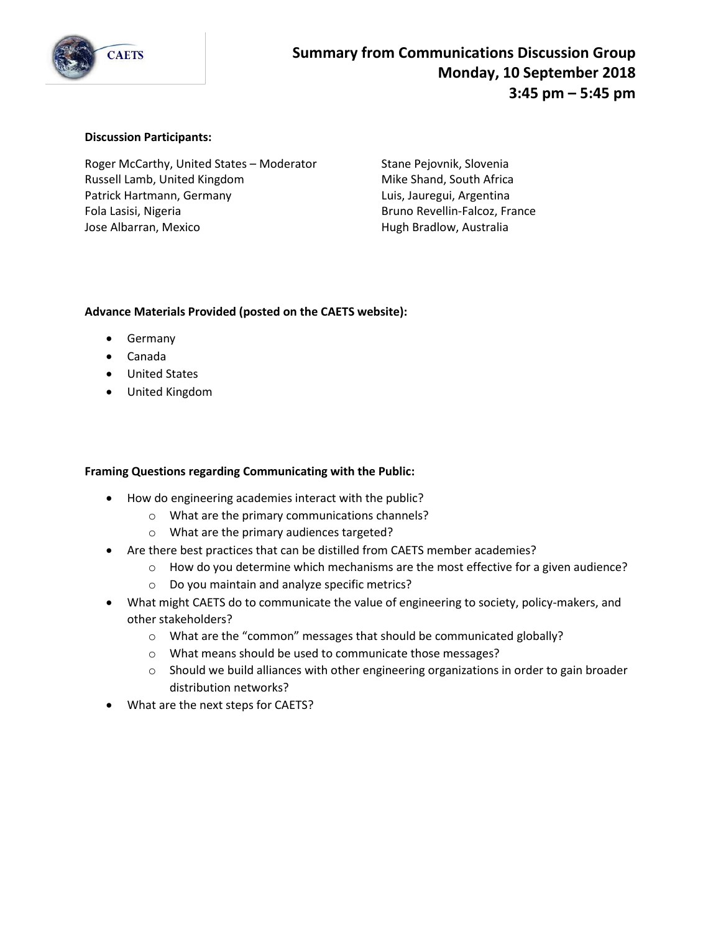

#### **Discussion Participants:**

Roger McCarthy, United States – Moderator Stane Pejovnik, Slovenia Russell Lamb, United Kingdom Mike Shand, South Africa Patrick Hartmann, Germany **Luis, Jauregui, Argentina** Fola Lasisi, Nigeria **Bruno Revellin-Falcoz, France** Jose Albarran, Mexico **Hugh Bradlow, Australia** 

### **Advance Materials Provided (posted on the CAETS website):**

- Germany
- Canada
- United States
- United Kingdom

### **Framing Questions regarding Communicating with the Public:**

- How do engineering academies interact with the public?
	- o What are the primary communications channels?
	- o What are the primary audiences targeted?
- Are there best practices that can be distilled from CAETS member academies?
	- $\circ$  How do you determine which mechanisms are the most effective for a given audience?
	- o Do you maintain and analyze specific metrics?
- What might CAETS do to communicate the value of engineering to society, policy-makers, and other stakeholders?
	- o What are the "common" messages that should be communicated globally?
	- o What means should be used to communicate those messages?
	- $\circ$  Should we build alliances with other engineering organizations in order to gain broader distribution networks?
- What are the next steps for CAETS?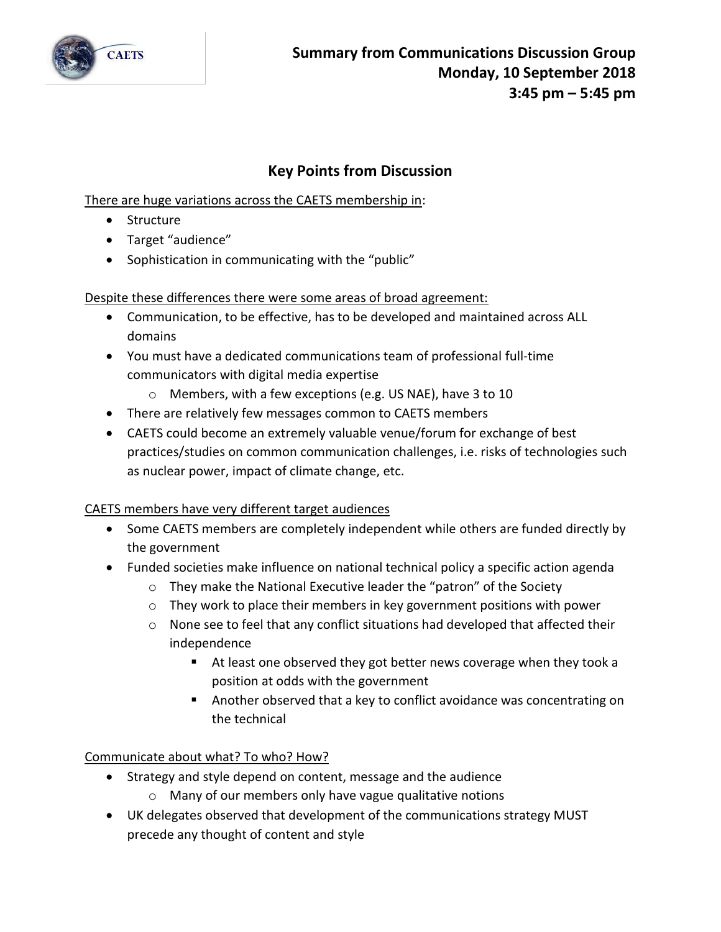

# **Key Points from Discussion**

There are huge variations across the CAETS membership in:

- Structure
- Target "audience"
- Sophistication in communicating with the "public"

Despite these differences there were some areas of broad agreement:

- Communication, to be effective, has to be developed and maintained across ALL domains
- You must have a dedicated communications team of professional full-time communicators with digital media expertise
	- o Members, with a few exceptions (e.g. US NAE), have 3 to 10
- There are relatively few messages common to CAETS members
- CAETS could become an extremely valuable venue/forum for exchange of best practices/studies on common communication challenges, i.e. risks of technologies such as nuclear power, impact of climate change, etc.

## CAETS members have very different target audiences

- Some CAETS members are completely independent while others are funded directly by the government
- Funded societies make influence on national technical policy a specific action agenda
	- o They make the National Executive leader the "patron" of the Society
	- o They work to place their members in key government positions with power
	- o None see to feel that any conflict situations had developed that affected their independence
		- At least one observed they got better news coverage when they took a position at odds with the government
		- Another observed that a key to conflict avoidance was concentrating on the technical

Communicate about what? To who? How?

- Strategy and style depend on content, message and the audience
	- o Many of our members only have vague qualitative notions
- UK delegates observed that development of the communications strategy MUST precede any thought of content and style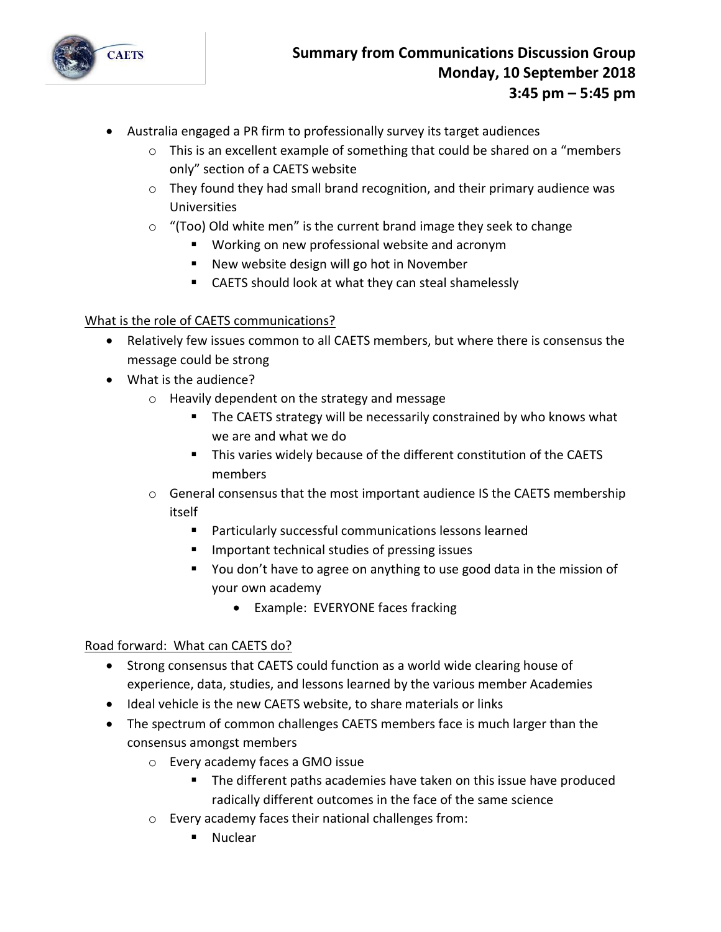

- Australia engaged a PR firm to professionally survey its target audiences
	- $\circ$  This is an excellent example of something that could be shared on a "members" only" section of a CAETS website
	- o They found they had small brand recognition, and their primary audience was Universities
	- o "(Too) Old white men" is the current brand image they seek to change
		- Working on new professional website and acronym
		- New website design will go hot in November
		- CAETS should look at what they can steal shamelessly

## What is the role of CAETS communications?

- Relatively few issues common to all CAETS members, but where there is consensus the message could be strong
- What is the audience?
	- o Heavily dependent on the strategy and message
		- The CAETS strategy will be necessarily constrained by who knows what we are and what we do
		- This varies widely because of the different constitution of the CAETS members
	- $\circ$  General consensus that the most important audience IS the CAETS membership itself
		- Particularly successful communications lessons learned
		- Important technical studies of pressing issues
		- You don't have to agree on anything to use good data in the mission of your own academy
			- Example: EVERYONE faces fracking

## Road forward: What can CAETS do?

- Strong consensus that CAETS could function as a world wide clearing house of experience, data, studies, and lessons learned by the various member Academies
- Ideal vehicle is the new CAETS website, to share materials or links
- The spectrum of common challenges CAETS members face is much larger than the consensus amongst members
	- o Every academy faces a GMO issue
		- **The different paths academies have taken on this issue have produced** radically different outcomes in the face of the same science
	- o Every academy faces their national challenges from:
		- Nuclear